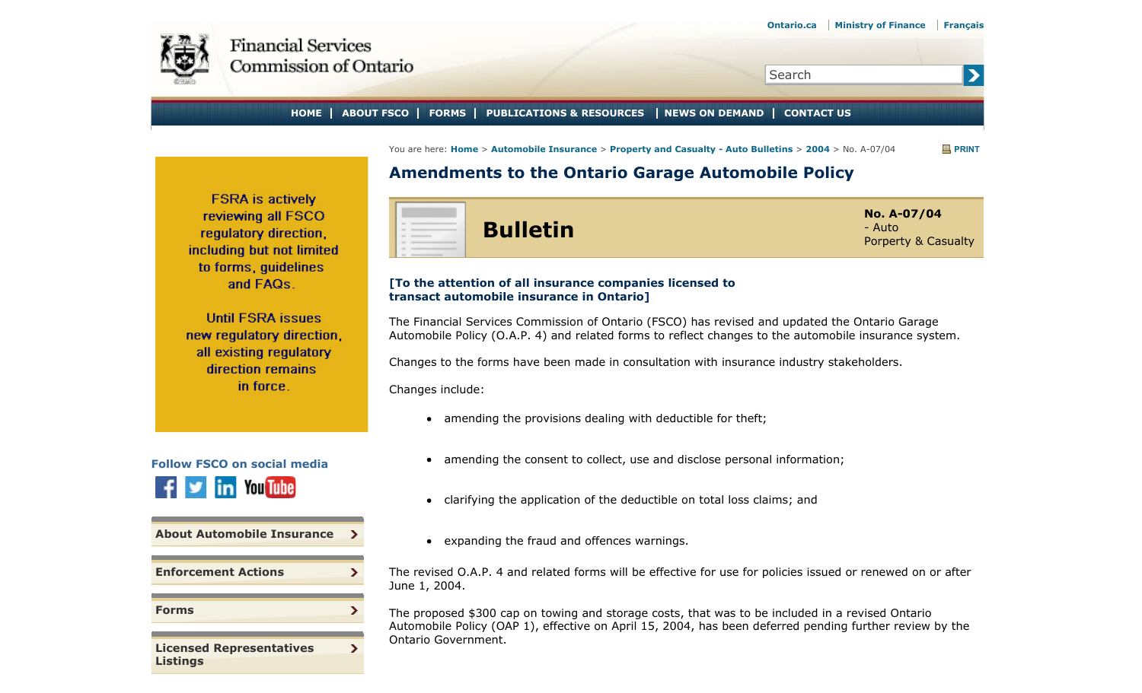<span id="page-0-0"></span>

 $\blacktriangleright$ 

**HOME ABOUT FSCO FORMS PUBLICATIONS & RESOURCES NEWS ON DEMAND CONTACT US**

You are here: **Home** > **Automobile Insurance** > **Property and Casualty - Auto Bulletins** > **2004** > No. A-07/04 **PRINT**

# **Amendments to the Ontario Garage Automobile Policy**

**FSRA** is actively reviewing all FSCO regulatory direction, including but not limited to forms, quidelines and FAQs.

**Until FSRA issues** new regulatory direction. all existing regulatory direction remains in force.



**Bulletin No. A-07/04** - Auto Porperty & Casualty

Search

#### **[To the attention of all insurance companies licensed to transact automobile insurance in Ontario]**

The Financial Services Commission of Ontario (FSCO) has revised and updated the Ontario Garage Automobile Policy (O.A.P. 4) and related forms to reflect changes to the automobile insurance system.

Changes to the forms have been made in consultation with insurance industry stakeholders.

Changes include:

- amending the provisions dealing with deductible for theft;
- amending the consent to collect, use and disclose personal information;
- clarifying the application of the deductible on total loss claims; and  $\bullet$
- expanding the fraud and offences warnings.

The revised O.A.P. 4 and related forms will be effective for use for policies issued or renewed on or after June 1, 2004.

The proposed \$300 cap on towing and storage costs, that was to be included in a revised Ontario Automobile Policy (OAP 1), effective on April 15, 2004, has been deferred pending further review by the Ontario Government.

**Follow FSCO on social media You Tube** 

**[About Automobile Insurance](#page-0-0)**

 $\rightarrow$ 

 $\mathcal{F}$ 

×.

 $\mathbf{r}$ 

**[Enforcement Actions](#page-0-0)**

**[Forms](#page-0-0)**

**[Licensed Representatives](#page-0-0) [Listings](#page-0-0)**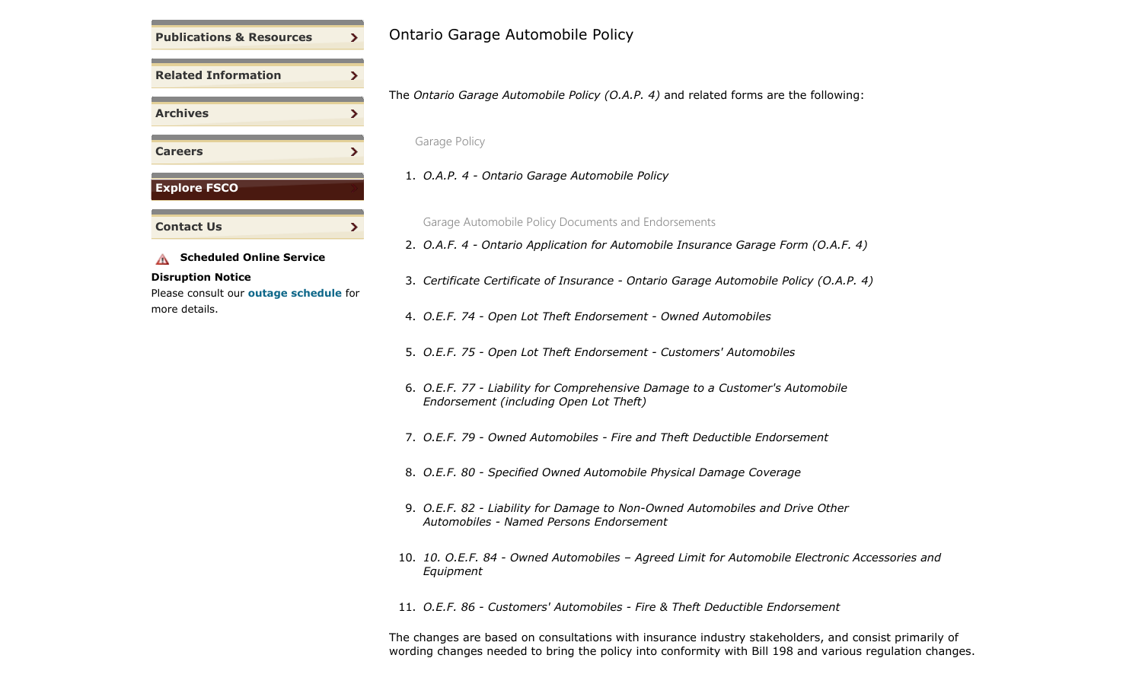

#### **Disruption Notice**

Please consult our **outage schedule** for more details.

## Ontario Garage Automobile Policy

The *Ontario Garage Automobile Policy (O.A.P. 4)* and related forms are the following:

Garage Policy

1. *O.A.P. 4 - Ontario Garage Automobile Policy*

Garage Automobile Policy Documents and Endorsements

2. *O.A.F. 4 - Ontario Application for Automobile Insurance Garage Form (O.A.F. 4)* 

- 3. *Certificate Certificate of Insurance Ontario Garage Automobile Policy (O.A.P. 4)*
- 4. *O.E.F. 74 Open Lot Theft Endorsement Owned Automobiles*
- 5. *O.E.F. 75 Open Lot Theft Endorsement Customers' Automobiles*
- 6. *O.E.F. 77 Liability for Comprehensive Damage to a Customer's Automobile Endorsement (including Open Lot Theft)*
- 7. *O.E.F. 79 Owned Automobiles Fire and Theft Deductible Endorsement*
- 8. *O.E.F. 80 Specified Owned Automobile Physical Damage Coverage*
- 9. *O.E.F. 82 Liability for Damage to Non-Owned Automobiles and Drive Other Automobiles - Named Persons Endorsement*
- 10. *10. O.E.F. 84 Owned Automobiles Agreed Limit for Automobile Electronic Accessories and Equipment*

11. *O.E.F. 86 - Customers' Automobiles - Fire & Theft Deductible Endorsement* 

The changes are based on consultations with insurance industry stakeholders, and consist primarily of wording changes needed to bring the policy into conformity with Bill 198 and various regulation changes.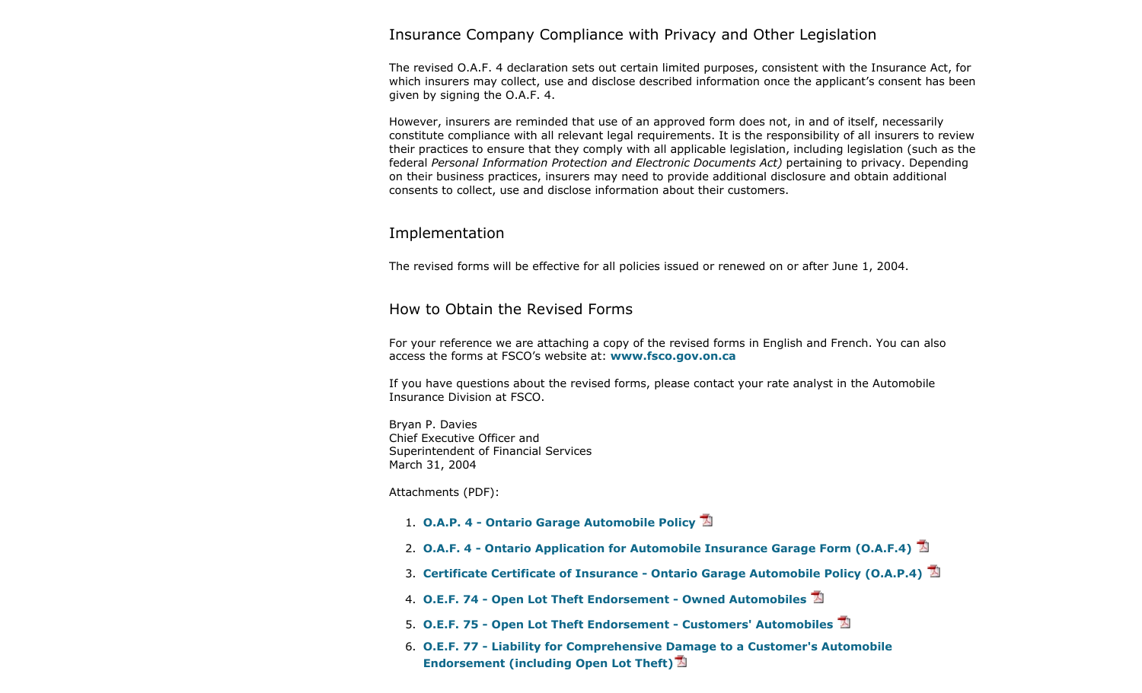#### Insurance Company Compliance with Privacy and Other Legislation

The revised O.A.F. 4 declaration sets out certain limited purposes, consistent with the Insurance Act, for which insurers may collect, use and disclose described information once the applicant's consent has been given by signing the O.A.F. 4.

However, insurers are reminded that use of an approved form does not, in and of itself, necessarily constitute compliance with all relevant legal requirements. It is the responsibility of all insurers to review their practices to ensure that they comply with all applicable legislation, including legislation (such as the federal *Personal Information Protection and Electronic Documents Act)* pertaining to privacy. Depending on their business practices, insurers may need to provide additional disclosure and obtain additional consents to collect, use and disclose information about their customers.

## Implementation

The revised forms will be effective for all policies issued or renewed on or after June 1, 2004.

## How to Obtain the Revised Forms

For your reference we are attaching a copy of the revised forms in English and French. You can also access the forms at FSCO's website at: **www.fsco.gov.on.ca**

If you have questions about the revised forms, please contact your rate analyst in the Automobile Insurance Division at FSCO.

Bryan P. Davies Chief Executive Officer and Superintendent of Financial Services March 31, 2004

Attachments (PDF):

- 1. **O.A.P. 4 Ontario Garage Automobile Policy**
- 2. **O.A.F. 4 Ontario Application for Automobile Insurance Garage Form (O.A.F.4)**
- 3. **Certificate Certificate of Insurance Ontario Garage Automobile Policy (O.A.P.4)**
- 4. **O.E.F. 74 Open Lot Theft Endorsement Owned Automobiles**
- 5. **O.E.F. 75 Open Lot Theft Endorsement Customers' Automobiles**
- 6. **O.E.F. 77 Liability for Comprehensive Damage to a Customer's Automobile Endorsement (including Open Lot Theft)**